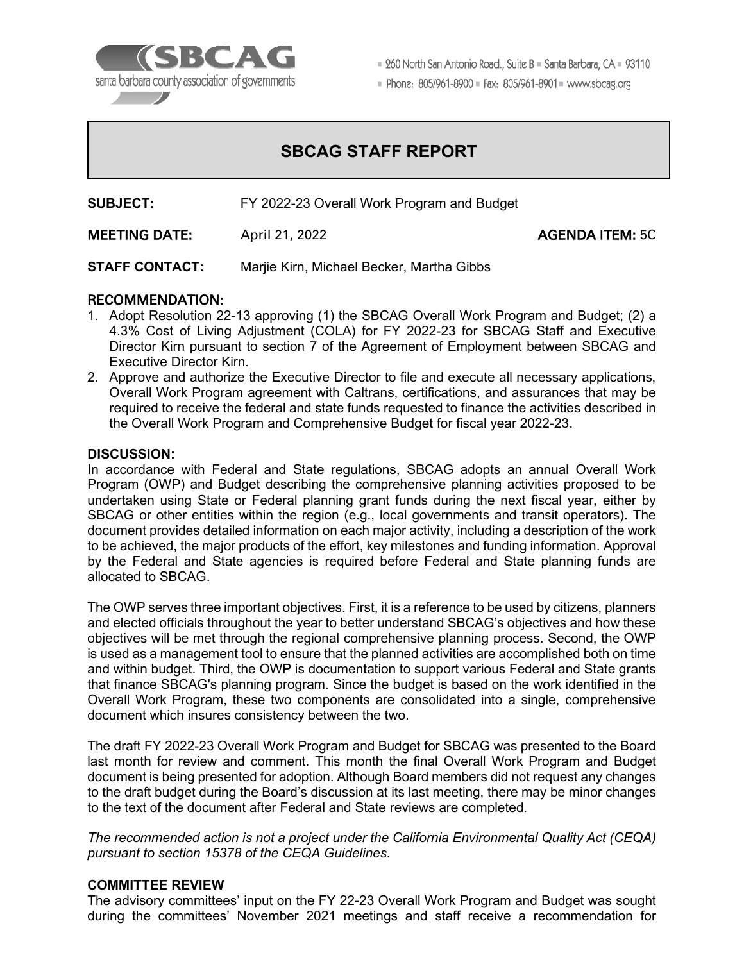

■ 260 North San Antonio Road., Suite B ■ Santa Barbara, CA ■ 93110

Phone: 805/961-8900 = Fax: 805/961-8901 = www.sbcag.org

## **SBCAG STAFF REPORT**

**SUBJECT:** FY 2022-23 Overall Work Program and Budget

MEETING DATE: April 21, 2022 AGENDA ITEM: 5C

**STAFF CONTACT:** Marjie Kirn, Michael Becker, Martha Gibbs

#### RECOMMENDATION:

- 1. Adopt Resolution 22-13 approving (1) the SBCAG Overall Work Program and Budget; (2) a 4.3% Cost of Living Adjustment (COLA) for FY 2022-23 for SBCAG Staff and Executive Director Kirn pursuant to section 7 of the Agreement of Employment between SBCAG and Executive Director Kirn.
- 2. Approve and authorize the Executive Director to file and execute all necessary applications, Overall Work Program agreement with Caltrans, certifications, and assurances that may be required to receive the federal and state funds requested to finance the activities described in the Overall Work Program and Comprehensive Budget for fiscal year 2022-23.

#### **DISCUSSION:**

In accordance with Federal and State regulations, SBCAG adopts an annual Overall Work Program (OWP) and Budget describing the comprehensive planning activities proposed to be undertaken using State or Federal planning grant funds during the next fiscal year, either by SBCAG or other entities within the region (e.g., local governments and transit operators). The document provides detailed information on each major activity, including a description of the work to be achieved, the major products of the effort, key milestones and funding information. Approval by the Federal and State agencies is required before Federal and State planning funds are allocated to SBCAG.

The OWP serves three important objectives. First, it is a reference to be used by citizens, planners and elected officials throughout the year to better understand SBCAG's objectives and how these objectives will be met through the regional comprehensive planning process. Second, the OWP is used as a management tool to ensure that the planned activities are accomplished both on time and within budget. Third, the OWP is documentation to support various Federal and State grants that finance SBCAG's planning program. Since the budget is based on the work identified in the Overall Work Program, these two components are consolidated into a single, comprehensive document which insures consistency between the two.

The draft FY 2022-23 Overall Work Program and Budget for SBCAG was presented to the Board last month for review and comment. This month the final Overall Work Program and Budget document is being presented for adoption. Although Board members did not request any changes to the draft budget during the Board's discussion at its last meeting, there may be minor changes to the text of the document after Federal and State reviews are completed.

*The recommended action is not a project under the California Environmental Quality Act (CEQA) pursuant to section 15378 of the CEQA Guidelines.*

#### **COMMITTEE REVIEW**

The advisory committees' input on the FY 22-23 Overall Work Program and Budget was sought during the committees' November 2021 meetings and staff receive a recommendation for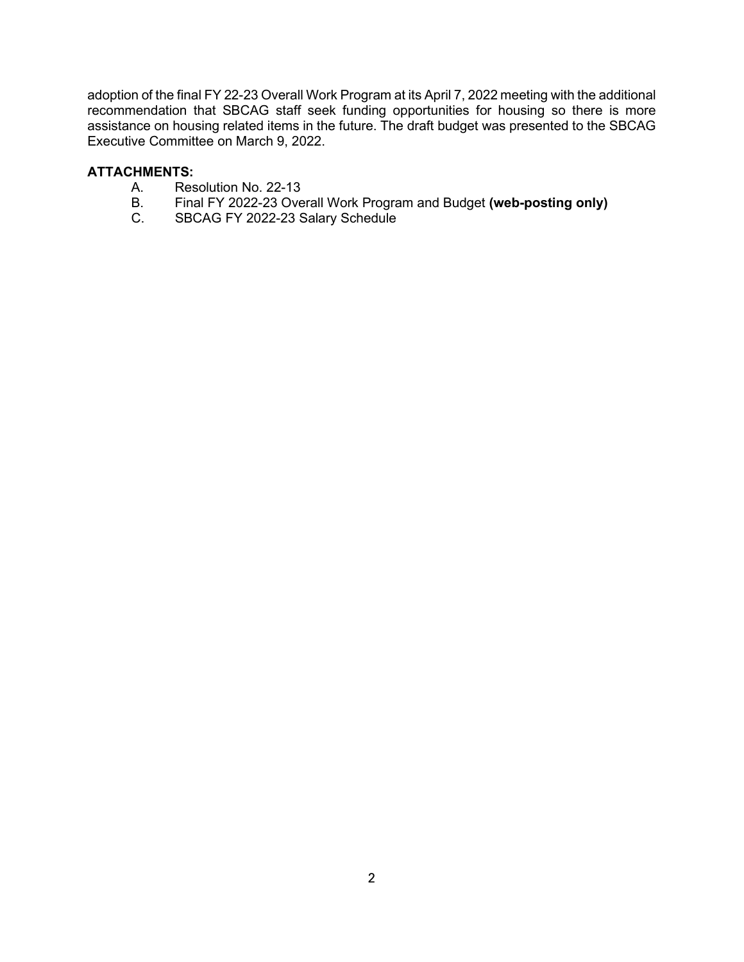adoption of the final FY 22-23 Overall Work Program at its April 7, 2022 meeting with the additional recommendation that SBCAG staff seek funding opportunities for housing so there is more assistance on housing related items in the future. The draft budget was presented to the SBCAG Executive Committee on March 9, 2022.

# **ATTACHMENTS:**

- A. Resolution No. 22-13<br>B. Final FY 2022-23 Ove
- B. Final FY 2022-23 Overall Work Program and Budget **(web-posting only)**
- SBCAG FY 2022-23 Salary Schedule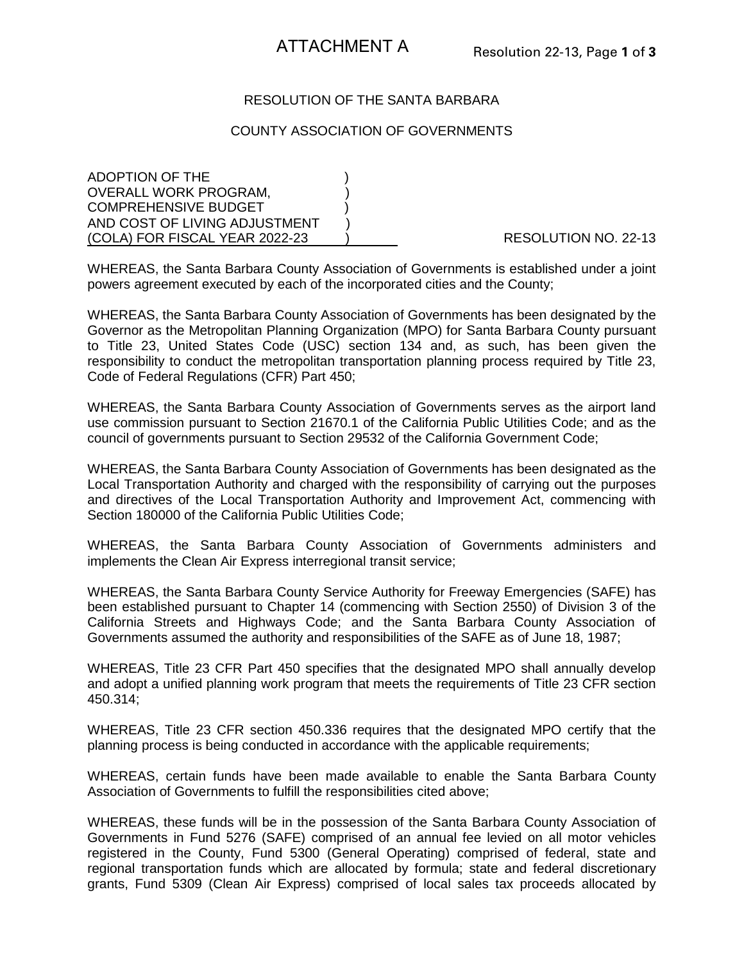## RESOLUTION OF THE SANTA BARBARA

#### COUNTY ASSOCIATION OF GOVERNMENTS

ADOPTION OF THE ) OVERALL WORK PROGRAM. COMPREHENSIVE BUDGET AND COST OF LIVING ADJUSTMENT (COLA) FOR FISCAL YEAR 2022-23 ) RESOLUTION NO. 22-13

WHEREAS, the Santa Barbara County Association of Governments is established under a joint powers agreement executed by each of the incorporated cities and the County;

WHEREAS, the Santa Barbara County Association of Governments has been designated by the Governor as the Metropolitan Planning Organization (MPO) for Santa Barbara County pursuant to Title 23, United States Code (USC) section 134 and, as such, has been given the responsibility to conduct the metropolitan transportation planning process required by Title 23, Code of Federal Regulations (CFR) Part 450;

WHEREAS, the Santa Barbara County Association of Governments serves as the airport land use commission pursuant to Section 21670.1 of the California Public Utilities Code; and as the council of governments pursuant to Section 29532 of the California Government Code;

WHEREAS, the Santa Barbara County Association of Governments has been designated as the Local Transportation Authority and charged with the responsibility of carrying out the purposes and directives of the Local Transportation Authority and Improvement Act, commencing with Section 180000 of the California Public Utilities Code;

WHEREAS, the Santa Barbara County Association of Governments administers and implements the Clean Air Express interregional transit service;

WHEREAS, the Santa Barbara County Service Authority for Freeway Emergencies (SAFE) has been established pursuant to Chapter 14 (commencing with Section 2550) of Division 3 of the California Streets and Highways Code; and the Santa Barbara County Association of Governments assumed the authority and responsibilities of the SAFE as of June 18, 1987;

WHEREAS, Title 23 CFR Part 450 specifies that the designated MPO shall annually develop and adopt a unified planning work program that meets the requirements of Title 23 CFR section 450.314;

WHEREAS, Title 23 CFR section 450.336 requires that the designated MPO certify that the planning process is being conducted in accordance with the applicable requirements;

WHEREAS, certain funds have been made available to enable the Santa Barbara County Association of Governments to fulfill the responsibilities cited above;

WHEREAS, these funds will be in the possession of the Santa Barbara County Association of Governments in Fund 5276 (SAFE) comprised of an annual fee levied on all motor vehicles registered in the County, Fund 5300 (General Operating) comprised of federal, state and regional transportation funds which are allocated by formula; state and federal discretionary grants, Fund 5309 (Clean Air Express) comprised of local sales tax proceeds allocated by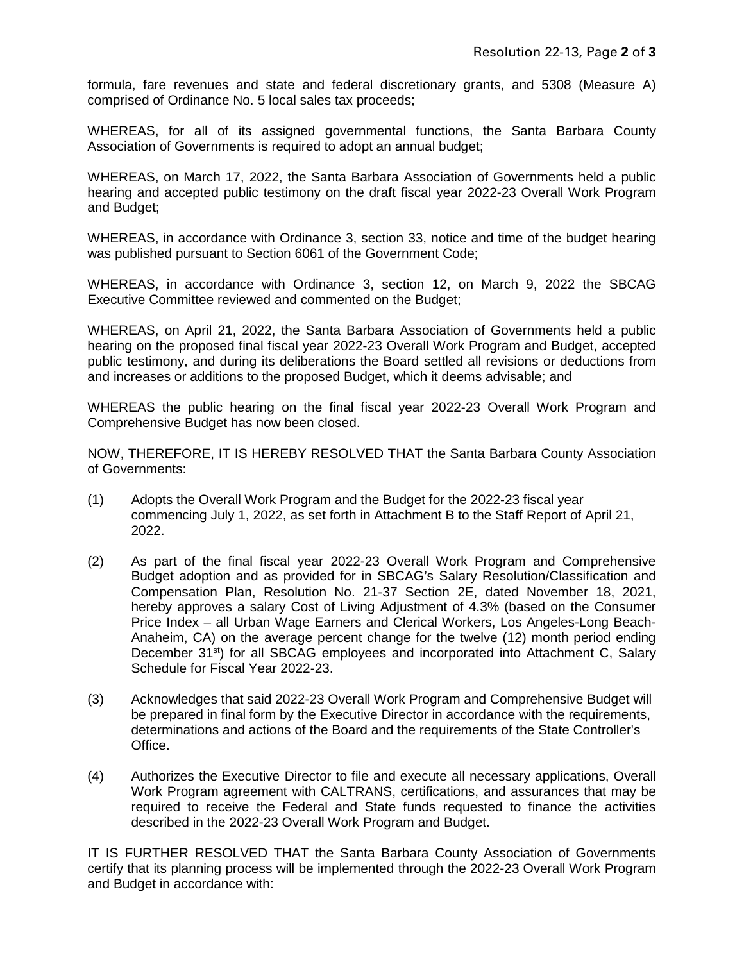formula, fare revenues and state and federal discretionary grants, and 5308 (Measure A) comprised of Ordinance No. 5 local sales tax proceeds;

WHEREAS, for all of its assigned governmental functions, the Santa Barbara County Association of Governments is required to adopt an annual budget;

WHEREAS, on March 17, 2022, the Santa Barbara Association of Governments held a public hearing and accepted public testimony on the draft fiscal year 2022-23 Overall Work Program and Budget;

WHEREAS, in accordance with Ordinance 3, section 33, notice and time of the budget hearing was published pursuant to Section 6061 of the Government Code;

WHEREAS, in accordance with Ordinance 3, section 12, on March 9, 2022 the SBCAG Executive Committee reviewed and commented on the Budget;

WHEREAS, on April 21, 2022, the Santa Barbara Association of Governments held a public hearing on the proposed final fiscal year 2022-23 Overall Work Program and Budget, accepted public testimony, and during its deliberations the Board settled all revisions or deductions from and increases or additions to the proposed Budget, which it deems advisable; and

WHEREAS the public hearing on the final fiscal year 2022-23 Overall Work Program and Comprehensive Budget has now been closed.

NOW, THEREFORE, IT IS HEREBY RESOLVED THAT the Santa Barbara County Association of Governments:

- (1) Adopts the Overall Work Program and the Budget for the 2022-23 fiscal year commencing July 1, 2022, as set forth in Attachment B to the Staff Report of April 21, 2022.
- (2) As part of the final fiscal year 2022-23 Overall Work Program and Comprehensive Budget adoption and as provided for in SBCAG's Salary Resolution/Classification and Compensation Plan, Resolution No. 21-37 Section 2E, dated November 18, 2021, hereby approves a salary Cost of Living Adjustment of 4.3% (based on the Consumer Price Index – all Urban Wage Earners and Clerical Workers, Los Angeles-Long Beach-Anaheim, CA) on the average percent change for the twelve (12) month period ending December 31<sup>st</sup>) for all SBCAG employees and incorporated into Attachment C, Salary Schedule for Fiscal Year 2022-23.
- (3) Acknowledges that said 2022-23 Overall Work Program and Comprehensive Budget will be prepared in final form by the Executive Director in accordance with the requirements, determinations and actions of the Board and the requirements of the State Controller's Office.
- (4) Authorizes the Executive Director to file and execute all necessary applications, Overall Work Program agreement with CALTRANS, certifications, and assurances that may be required to receive the Federal and State funds requested to finance the activities described in the 2022-23 Overall Work Program and Budget.

IT IS FURTHER RESOLVED THAT the Santa Barbara County Association of Governments certify that its planning process will be implemented through the 2022-23 Overall Work Program and Budget in accordance with: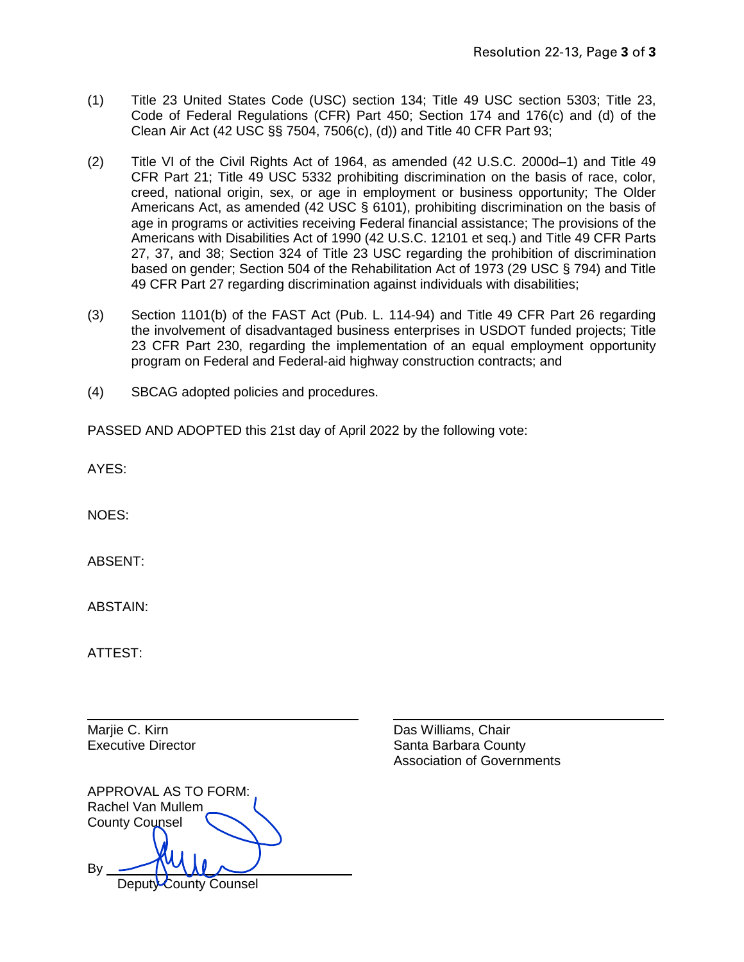- (1) Title 23 United States Code (USC) section 134; Title 49 USC section 5303; Title 23, Code of Federal Regulations (CFR) Part 450; Section 174 and 176(c) and (d) of the Clean Air Act (42 USC §§ 7504, 7506(c), (d)) and Title 40 CFR Part 93;
- (2) Title VI of the Civil Rights Act of 1964, as amended (42 U.S.C. 2000d–1) and Title 49 CFR Part 21; Title 49 USC 5332 prohibiting discrimination on the basis of race, color, creed, national origin, sex, or age in employment or business opportunity; The Older Americans Act, as amended (42 USC § 6101), prohibiting discrimination on the basis of age in programs or activities receiving Federal financial assistance; The provisions of the Americans with Disabilities Act of 1990 (42 U.S.C. 12101 et seq.) and Title 49 CFR Parts 27, 37, and 38; Section 324 of Title 23 USC regarding the prohibition of discrimination based on gender; Section 504 of the Rehabilitation Act of 1973 (29 USC § 794) and Title 49 CFR Part 27 regarding discrimination against individuals with disabilities;
- (3) Section 1101(b) of the FAST Act (Pub. L. 114-94) and Title 49 CFR Part 26 regarding the involvement of disadvantaged business enterprises in USDOT funded projects; Title 23 CFR Part 230, regarding the implementation of an equal employment opportunity program on Federal and Federal-aid highway construction contracts; and
- (4) SBCAG adopted policies and procedures.

PASSED AND ADOPTED this 21st day of April 2022 by the following vote:

AYES:

NOES:

ABSENT:

ABSTAIN:

ATTEST:

|                       | APPROVAL AS TO FORM:  |
|-----------------------|-----------------------|
| Rachel Van Mullem     |                       |
| <b>County Counsel</b> |                       |
|                       |                       |
|                       |                       |
|                       |                       |
|                       | Deputy County Counsel |

Marije C. Kirn **Das Williams**, Chair Executive Director **Santa Barbara County** Santa Barbara County Association of Governments